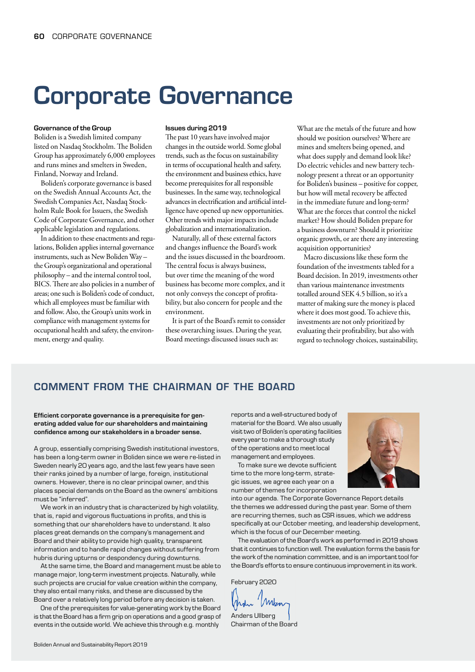# Corporate Governance

#### Governance of the Group

Boliden is a Swedish limited company listed on Nasdaq Stockholm. The Boliden Group has approximately 6,000 employees and runs mines and smelters in Sweden, Finland, Norway and Ireland.

Boliden's corporate governance is based on the Swedish Annual Accounts Act, the Swedish Companies Act, Nasdaq Stockholm Rule Book for Issuers, the Swedish Code of Corporate Governance, and other applicable legislation and regulations.

In addition to these enactments and regulations, Boliden applies internal governance instruments, such as New Boliden Way – the Group's organizational and operational philosophy – and the internal control tool, BICS. There are also policies in a number of areas; one such is Boliden's code of conduct, which all employees must be familiar with and follow. Also, the Group's units work in compliance with management systems for occupational health and safety, the environment, energy and quality.

#### Issues during 2019

The past 10 years have involved major changes in the outside world. Some global trends, such as the focus on sustainability in terms of occupational health and safety, the environment and business ethics, have become prerequisites for all responsible businesses. In the same way, technological advances in electrification and artificial intelligence have opened up new opportunities. Other trends with major impacts include globalization and internationalization.

Naturally, all of these external factors and changes influence the Board's work and the issues discussed in the boardroom. The central focus is always business, but over time the meaning of the word business has become more complex, and it not only conveys the concept of profitability, but also concern for people and the environment.

It is part of the Board's remit to consider these overarching issues. During the year, Board meetings discussed issues such as:

What are the metals of the future and how should we position ourselves? Where are mines and smelters being opened, and what does supply and demand look like? Do electric vehicles and new battery technology present a threat or an opportunity for Boliden's business – positive for copper, but how will metal recovery be affected in the immediate future and long-term? What are the forces that control the nickel market? How should Boliden prepare for a business downturn? Should it prioritize organic growth, or are there any interesting acquisition opportunities?

Macro discussions like these form the foundation of the investments tabled for a Board decision. In 2019, investments other than various maintenance investments totalled around SEK 4.5 billion, so it's a matter of making sure the money is placed where it does most good. To achieve this, investments are not only prioritized by evaluating their profitability, but also with regard to technology choices, sustainability,

# COMMENT FROM THE CHAIRMAN OF THE BOARD

#### Efficient corporate governance is a prerequisite for generating added value for our shareholders and maintaining confidence among our stakeholders in a broader sense.

A group, essentially comprising Swedish institutional investors, has been a long-term owner in Boliden since we were re-listed in Sweden nearly 20 years ago, and the last few years have seen their ranks joined by a number of large, foreign, institutional owners. However, there is no clear principal owner, and this places special demands on the Board as the owners' ambitions must be "inferred".

We work in an industry that is characterized by high volatility, that is, rapid and vigorous fluctuations in profits, and this is something that our shareholders have to understand. It also places great demands on the company's management and Board and their ability to provide high quality, transparent information and to handle rapid changes without suffering from hubris during upturns or despondency during downturns.

At the same time, the Board and management must be able to manage major, long-term investment projects. Naturally, while such projects are crucial for value creation within the company, they also entail many risks, and these are discussed by the Board over a relatively long period before any decision is taken.

One of the prerequisites for value-generating work by the Board is that the Board has a firm grip on operations and a good grasp of events in the outside world. We achieve this through e.g. monthly

reports and a well-structured body of material for the Board. We also usually visit two of Boliden's operating facilities every year to make a thorough study of the operations and to meet local management and employees.

To make sure we devote sufficient time to the more long-term, strategic issues, we agree each year on a number of themes for incorporation

into our agenda. The Corporate Governance Report details the themes we addressed during the past year. Some of them are recurring themes, such as CSR issues, which we address specifically at our October meeting, and leadership development, which is the focus of our December meeting.

The evaluation of the Board's work as performed in 2019 shows that it continues to function well. The evaluation forms the basis for the work of the nomination committee, and is an important tool for the Board's efforts to ensure continuous improvement in its work.

February 2020

'Mkon

Anders Ullberg Chairman of the Board

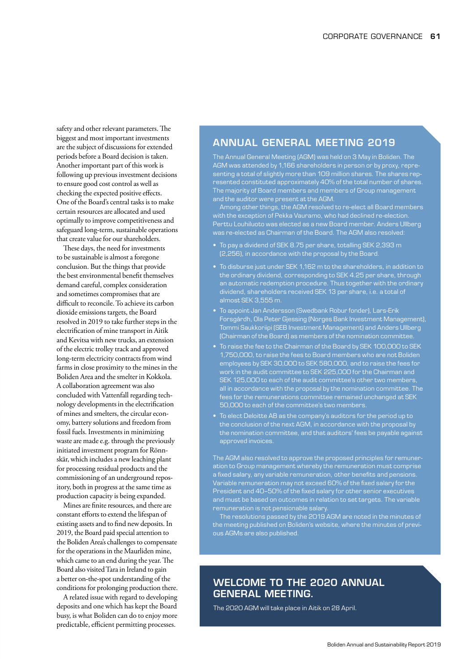safety and other relevant parameters. The biggest and most important investments are the subject of discussions for extended periods before a Board decision is taken. Another important part of this work is following up previous investment decisions to ensure good cost control as well as checking the expected positive effects. One of the Board's central tasks is to make certain resources are allocated and used optimally to improve competitiveness and safeguard long-term, sustainable operations that create value for our shareholders.

These days, the need for investments to be sustainable is almost a foregone conclusion. But the things that provide the best environmental benefit themselves demand careful, complex consideration and sometimes compromises that are difficult to reconcile. To achieve its carbon dioxide emissions targets, the Board resolved in 2019 to take further steps in the electrification of mine transport in Aitik and Kevitsa with new trucks, an extension of the electric trolley track and approved long-term electricity contracts from wind farms in close proximity to the mines in the Boliden Area and the smelter in Kokkola. A collaboration agreement was also concluded with Vattenfall regarding technology developments in the electrification of mines and smelters, the circular economy, battery solutions and freedom from fossil fuels. Investments in minimizing waste are made e.g. through the previously initiated investment program for Rönnskär, which includes a new leaching plant for processing residual products and the commissioning of an underground repository, both in progress at the same time as production capacity is being expanded.

Mines are finite resources, and there are constant efforts to extend the lifespan of existing assets and to find new deposits. In 2019, the Board paid special attention to the Boliden Area's challenges to compensate for the operations in the Maurliden mine, which came to an end during the year. The Board also visited Tara in Ireland to gain a better on-the-spot understanding of the conditions for prolonging production there.

A related issue with regard to developing deposits and one which has kept the Board busy, is what Boliden can do to enjoy more predictable, efficient permitting processes.

# ANNUAL GENERAL MEETING 2019

The Annual General Meeting (AGM) was held on 3 May in Boliden. The AGM was attended by 1,166 shareholders in person or by proxy, representing a total of slightly more than 109 million shares. The shares represented constituted approximately 40% of the total number of shares. The majority of Board members and members of Group management and the auditor were present at the AGM.

Among other things, the AGM resolved to re-elect all Board members with the exception of Pekka Vauramo, who had declined re-election. Perttu Louhiluoto was elected as a new Board member. Anders Ullberg was re-elected as Chairman of the Board. The AGM also resolved:

- To pay a dividend of SEK 8.75 per share, totalling SEK 2,393 m (2,256), in accordance with the proposal by the Board.
- To disburse just under SEK 1,162 m to the shareholders, in addition to the ordinary dividend, corresponding to SEK 4.25 per share, through an automatic redemption procedure. Thus together with the ordinary dividend, shareholders received SEK 13 per share, i.e. a total of almost SEK 3,555 m.
- To appoint Jan Andersson (Swedbank Robur fonder), Lars-Erik Forsgårdh, Ola Peter Gjessing (Norges Bank Investment Management), Tommi Saukkoriipi (SEB Investment Management) and Anders Ullberg (Chairman of the Board) as members of the nomination committee.
- To raise the fee to the Chairman of the Board by SEK 100,000 to SEK 1,750,000, to raise the fees to Board members who are not Boliden employees by SEK 30,000 to SEK 580,000, and to raise the fees for work in the audit committee to SEK 225,000 for the Chairman and SEK 125,000 to each of the audit committee's other two members, all in accordance with the proposal by the nomination committee. The fees for the remunerations committee remained unchanged at SEK 50,000 to each of the committee's two members.
- To elect Deloitte AB as the company's auditors for the period up to the conclusion of the next AGM, in accordance with the proposal by the nomination committee, and that auditors' fees be payable against approved invoices.

The AGM also resolved to approve the proposed principles for remuneration to Group management whereby the remuneration must comprise a fixed salary, any variable remuneration, other benefits and pensions. Variable remuneration may not exceed 60% of the fixed salary for the President and 40−50% of the fixed salary for other senior executives and must be based on outcomes in relation to set targets. The variable remuneration is not pensionable salary.

The resolutions passed by the 2019 AGM are noted in the minutes of the meeting published on Boliden's website, where the minutes of previous AGMs are also published.

# WELCOME TO THE 2020 ANNUAL GENERAL MEETING.

The 2020 AGM will take place in Aitik on 28 April.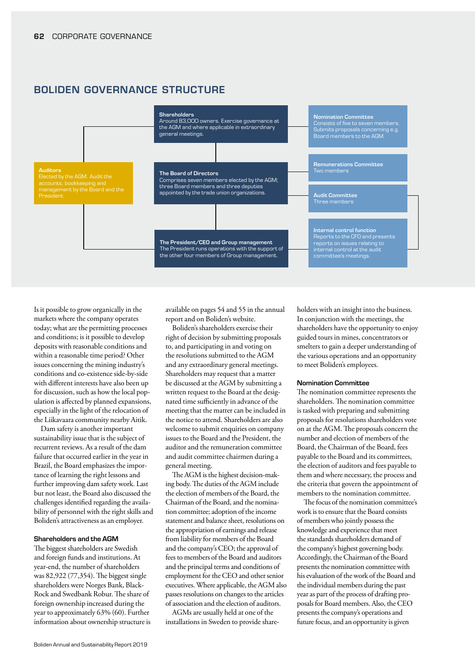# BOLIDEN GOVERNANCE STRUCTURE



Is it possible to grow organically in the markets where the company operates today; what are the permitting processes and conditions; is it possible to develop deposits with reasonable conditions and within a reasonable time period? Other issues concerning the mining industry's conditions and co-existence side-by-side with different interests have also been up for discussion, such as how the local population is affected by planned expansions, especially in the light of the relocation of the Liikavaara community nearby Aitik.

Dam safety is another important sustainability issue that is the subject of recurrent reviews. As a result of the dam failure that occurred earlier in the year in Brazil, the Board emphasizes the importance of learning the right lessons and further improving dam safety work. Last but not least, the Board also discussed the challenges identified regarding the availability of personnel with the right skills and Boliden's attractiveness as an employer.

#### Shareholders and the AGM

The biggest shareholders are Swedish and foreign funds and institutions. At year-end, the number of shareholders was 82,922 (77,354). The biggest single shareholders were Norges Bank, Black-Rock and Swedbank Robur. The share of foreign ownership increased during the year to approximately 63% (60). Further information about ownership structure is available on pages 54 and 55 in the annual report and on Boliden's website.

Boliden's shareholders exercise their right of decision by submitting proposals to, and participating in and voting on the resolutions submitted to the AGM and any extraordinary general meetings. Shareholders may request that a matter be discussed at the AGM by submitting a written request to the Board at the designated time sufficiently in advance of the meeting that the matter can be included in the notice to attend. Shareholders are also welcome to submit enquiries on company issues to the Board and the President, the auditor and the remuneration committee and audit committee chairmen during a general meeting.

The AGM is the highest decision-making body. The duties of the AGM include the election of members of the Board, the Chairman of the Board, and the nomination committee; adoption of the income statement and balance sheet, resolutions on the appropriation of earnings and release from liability for members of the Board and the company's CEO; the approval of fees to members of the Board and auditors and the principal terms and conditions of employment for the CEO and other senior executives. Where applicable, the AGM also passes resolutions on changes to the articles of association and the election of auditors.

AGMs are usually held at one of the installations in Sweden to provide shareholders with an insight into the business. In conjunction with the meetings, the shareholders have the opportunity to enjoy guided tours in mines, concentrators or smelters to gain a deeper understanding of the various operations and an opportunity to meet Boliden's employees.

#### Nomination Committee

The nomination committee represents the shareholders. The nomination committee is tasked with preparing and submitting proposals for resolutions shareholders vote on at the AGM. The proposals concern the number and election of members of the Board, the Chairman of the Board, fees payable to the Board and its committees, the election of auditors and fees payable to them and where necessary, the process and the criteria that govern the appointment of members to the nomination committee.

The focus of the nomination committee's work is to ensure that the Board consists of members who jointly possess the knowledge and experience that meet the standards shareholders demand of the company's highest governing body. Accordingly, the Chairman of the Board presents the nomination committee with his evaluation of the work of the Board and the individual members during the past year as part of the process of drafting proposals for Board members. Also, the CEO presents the company's operations and future focus, and an opportunity is given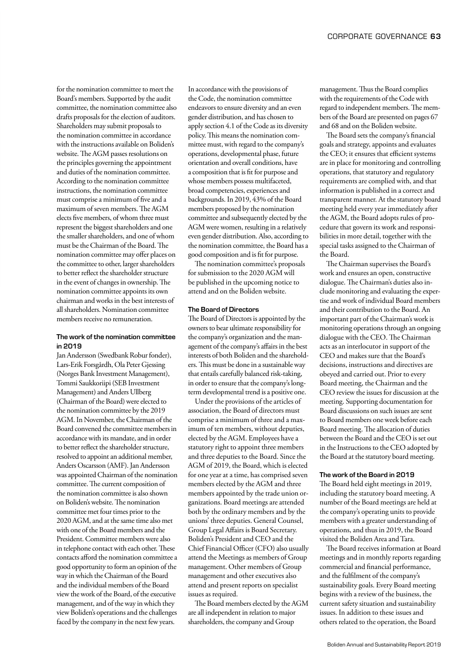for the nomination committee to meet the Board's members. Supported by the audit committee, the nomination committee also drafts proposals for the election of auditors. Shareholders may submit proposals to the nomination committee in accordance with the instructions available on Boliden's website. The AGM passes resolutions on the principles governing the appointment and duties of the nomination committee. According to the nomination committee instructions, the nomination committee must comprise a minimum of five and a maximum of seven members. The AGM elects five members, of whom three must represent the biggest shareholders and one the smaller shareholders, and one of whom must be the Chairman of the Board. The nomination committee may offer places on the committee to other, larger shareholders to better reflect the shareholder structure in the event of changes in ownership. The nomination committee appoints its own chairman and works in the best interests of all shareholders. Nomination committee members receive no remuneration.

# The work of the nomination committee in 2019

Jan Andersson (Swedbank Robur fonder), Lars-Erik Forsgårdh, Ola Peter Gjessing (Norges Bank Investment Management), Tommi Saukkoriipi (SEB Investment Management) and Anders Ullberg (Chairman of the Board) were elected to the nomination committee by the 2019 AGM. In November, the Chairman of the Board convened the committee members in accordance with its mandate, and in order to better reflect the shareholder structure, resolved to appoint an additional member, Anders Oscarsson (AMF). Jan Andersson was appointed Chairman of the nomination committee. The current composition of the nomination committee is also shown on Boliden's website. The nomination committee met four times prior to the 2020 AGM, and at the same time also met with one of the Board members and the President. Committee members were also in telephone contact with each other. These contacts afford the nomination committee a good opportunity to form an opinion of the way in which the Chairman of the Board and the individual members of the Board view the work of the Board, of the executive management, and of the way in which they view Boliden's operations and the challenges faced by the company in the next few years.

In accordance with the provisions of the Code, the nomination committee endeavors to ensure diversity and an even gender distribution, and has chosen to apply section 4.1 of the Code as its diversity policy. This means the nomination committee must, with regard to the company's operations, developmental phase, future orientation and overall conditions, have a composition that is fit for purpose and whose members possess multifaceted, broad competencies, experiences and backgrounds. In 2019, 43% of the Board members proposed by the nomination committee and subsequently elected by the AGM were women, resulting in a relatively even gender distribution. Also, according to the nomination committee, the Board has a good composition and is fit for purpose.

The nomination committee's proposals for submission to the 2020 AGM will be published in the upcoming notice to attend and on the Boliden website.

## The Board of Directors

The Board of Directors is appointed by the owners to bear ultimate responsibility for the company's organization and the management of the company's affairs in the best interests of both Boliden and the shareholders. This must be done in a sustainable way that entails carefully balanced risk-taking, in order to ensure that the company's longterm developmental trend is a positive one.

Under the provisions of the articles of association, the Board of directors must comprise a minimum of three and a maximum of ten members, without deputies, elected by the AGM. Employees have a statutory right to appoint three members and three deputies to the Board. Since the AGM of 2019, the Board, which is elected for one year at a time, has comprised seven members elected by the AGM and three members appointed by the trade union organizations. Board meetings are attended both by the ordinary members and by the unions' three deputies. General Counsel, Group Legal Affairs is Board Secretary. Boliden's President and CEO and the Chief Financial Officer (CFO) also usually attend the Meetings as members of Group management. Other members of Group management and other executives also attend and present reports on specialist issues as required.

The Board members elected by the AGM are all independent in relation to major shareholders, the company and Group

management. Thus the Board complies with the requirements of the Code with regard to independent members. The members of the Board are presented on pages 67 and 68 and on the Boliden website.

The Board sets the company's financial goals and strategy, appoints and evaluates the CEO; it ensures that efficient systems are in place for monitoring and controlling operations, that statutory and regulatory requirements are complied with, and that information is published in a correct and transparent manner. At the statutory board meeting held every year immediately after the AGM, the Board adopts rules of procedure that govern its work and responsibilities in more detail, together with the special tasks assigned to the Chairman of the Board.

The Chairman supervises the Board's work and ensures an open, constructive dialogue. The Chairman's duties also include monitoring and evaluating the expertise and work of individual Board members and their contribution to the Board. An important part of the Chairman's work is monitoring operations through an ongoing dialogue with the CEO. The Chairman acts as an interlocutor in support of the CEO and makes sure that the Board's decisions, instructions and directives are obeyed and carried out. Prior to every Board meeting, the Chairman and the CEO review the issues for discussion at the meeting. Supporting documentation for Board discussions on such issues are sent to Board members one week before each Board meeting. The allocation of duties between the Board and the CEO is set out in the Instructions to the CEO adopted by the Board at the statutory board meeting.

#### The work of the Board in 2019

The Board held eight meetings in 2019, including the statutory board meeting. A number of the Board meetings are held at the company's operating units to provide members with a greater understanding of operations, and thus in 2019, the Board visited the Boliden Area and Tara.

The Board receives information at Board meetings and in monthly reports regarding commercial and financial performance, and the fulfilment of the company's sustainability goals. Every Board meeting begins with a review of the business, the current safety situation and sustainability issues. In addition to these issues and others related to the operation, the Board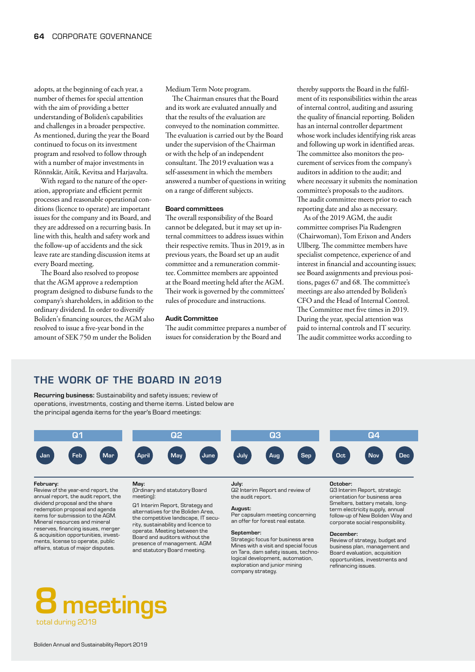adopts, at the beginning of each year, a number of themes for special attention with the aim of providing a better understanding of Boliden's capabilities and challenges in a broader perspective. As mentioned, during the year the Board continued to focus on its investment program and resolved to follow through with a number of major investments in Rönnskär, Aitik, Kevitsa and Harjavalta.

With regard to the nature of the operation, appropriate and efficient permit processes and reasonable operational conditions (licence to operate) are important issues for the company and its Board, and they are addressed on a recurring basis. In line with this, health and safety work and the follow-up of accidents and the sick leave rate are standing discussion items at every Board meeting.

The Board also resolved to propose that the AGM approve a redemption program designed to disburse funds to the company's shareholders, in addition to the ordinary dividend. In order to diversify Boliden's financing sources, the AGM also resolved to issue a five-year bond in the amount of SEK 750 m under the Boliden

Medium Term Note program.

The Chairman ensures that the Board and its work are evaluated annually and that the results of the evaluation are conveyed to the nomination committee. The evaluation is carried out by the Board under the supervision of the Chairman or with the help of an independent consultant. The 2019 evaluation was a self-assessment in which the members answered a number of questions in writing on a range of different subjects.

#### Board committees

The overall responsibility of the Board cannot be delegated, but it may set up internal committees to address issues within their respective remits. Thus in 2019, as in previous years, the Board set up an audit committee and a remuneration committee. Committee members are appointed at the Board meeting held after the AGM. Their work is governed by the committees' rules of procedure and instructions.

#### Audit Committee

The audit committee prepares a number of issues for consideration by the Board and

thereby supports the Board in the fulfilment of its responsibilities within the areas of internal control, auditing and assuring the quality of financial reporting. Boliden has an internal controller department whose work includes identifying risk areas and following up work in identified areas. The committee also monitors the procurement of services from the company's auditors in addition to the audit; and where necessary it submits the nomination committee's proposals to the auditors. The audit committee meets prior to each reporting date and also as necessary.

As of the 2019 AGM, the audit committee comprises Pia Rudengren (Chairwoman), Tom Erixon and Anders Ullberg. The committee members have specialist competence, experience of and interest in financial and accounting issues; see Board assignments and previous positions, pages 67 and 68. The committee's meetings are also attended by Boliden's CFO and the Head of Internal Control. The Committee met five times in 2019. During the year, special attention was paid to internal controls and IT security. The audit committee works according to

# THE WORK OF THE BOARD IN 2019

Recurring business: Sustainability and safety issues; review of operations, investments, costing and theme items. Listed below are the principal agenda items for the year's Board meetings:



#### February:

Review of the year-end report, the annual report, the audit report, the dividend proposal and the share redemption proposal and agenda items for submission to the AGM. Mineral resources and mineral reserves, financing issues, merger & acquisition opportunities, investments, license to operate, public affairs, status of major disputes.

#### May: (Ordinary and statutory Board meeting)

Q1 Interim Report, Strategy and alternatives for the Boliden Area, the competitive landscape, IT security, sustainability and licence to

operate. Meeting between the Board and auditors without the presence of management. AGM and statutory Board meeting.

#### July:

Q2 Interim Report and review of the audit report.

#### August:

Per capsulam meeting concerning an offer for forest real estate.

#### September:

Strategic focus for business area Mines with a visit and special focus on Tara, dam safety issues, technological development, automation, exploration and junior mining company strategy.

#### October:

Q3 Interim Report, strategic orientation for business area Smelters, battery metals, longterm electricity supply, annual follow-up of New Boliden Way and corporate social responsibility.

#### December:

Review of strategy, budget and business plan, management and Board evaluation, acquisition opportunities, investments and refinancing issues.

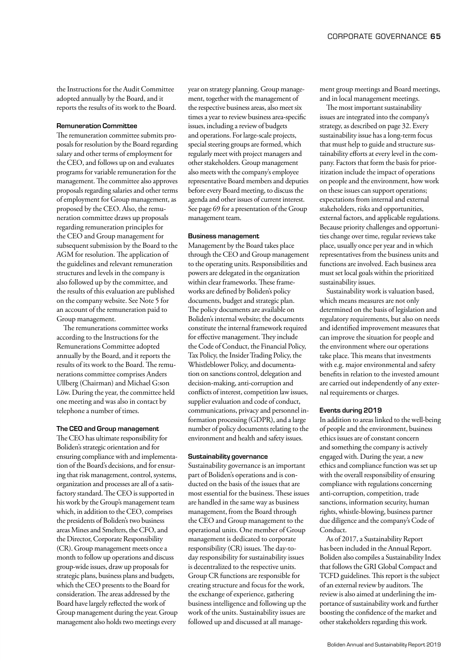the Instructions for the Audit Committee adopted annually by the Board, and it reports the results of its work to the Board.

#### Remuneration Committee

The remuneration committee submits proposals for resolution by the Board regarding salary and other terms of employment for the CEO, and follows up on and evaluates programs for variable remuneration for the management. The committee also approves proposals regarding salaries and other terms of employment for Group management, as proposed by the CEO. Also, the remuneration committee draws up proposals regarding remuneration principles for the CEO and Group management for subsequent submission by the Board to the AGM for resolution. The application of the guidelines and relevant remuneration structures and levels in the company is also followed up by the committee, and the results of this evaluation are published on the company website. See Note 5 for an account of the remuneration paid to Group management.

The remunerations committee works according to the Instructions for the Remunerations Committee adopted annually by the Board, and it reports the results of its work to the Board. The remunerations committee comprises Anders Ullberg (Chairman) and Michael G:son Löw. During the year, the committee held one meeting and was also in contact by telephone a number of times.

#### The CEO and Group management

The CEO has ultimate responsibility for Boliden's strategic orientation and for ensuring compliance with and implementation of the Board's decisions, and for ensuring that risk management, control, systems, organization and processes are all of a satisfactory standard. The CEO is supported in his work by the Group's management team which, in addition to the CEO, comprises the presidents of Boliden's two business areas Mines and Smelters, the CFO, and the Director, Corporate Responsibility (CR). Group management meets once a month to follow up operations and discuss group-wide issues, draw up proposals for strategic plans, business plans and budgets, which the CEO presents to the Board for consideration. The areas addressed by the Board have largely reflected the work of Group management during the year. Group management also holds two meetings every

year on strategy planning. Group management, together with the management of the respective business areas, also meet six times a year to review business area-specific issues, including a review of budgets and operations. For large-scale projects, special steering groups are formed, which regularly meet with project managers and other stakeholders. Group management also meets with the company's employee representative Board members and deputies before every Board meeting, to discuss the agenda and other issues of current interest. See page 69 for a presentation of the Group management team.

#### Business management

Management by the Board takes place through the CEO and Group management to the operating units. Responsibilities and powers are delegated in the organization within clear frameworks. These frameworks are defined by Boliden's policy documents, budget and strategic plan. The policy documents are available on Boliden's internal website; the documents constitute the internal framework required for effective management. They include the Code of Conduct, the Financial Policy, Tax Policy, the Insider Trading Policy, the Whistleblower Policy, and documentation on sanctions control, delegation and decision-making, anti-corruption and conflicts of interest, competition law issues, supplier evaluation and code of conduct, communications, privacy and personnel information processing (GDPR), and a large number of policy documents relating to the environment and health and safety issues.

#### Sustainability governance

Sustainability governance is an important part of Boliden's operations and is conducted on the basis of the issues that are most essential for the business. These issues are handled in the same way as business management, from the Board through the CEO and Group management to the operational units. One member of Group management is dedicated to corporate responsibility (CR) issues. The day-today responsibility for sustainability issues is decentralized to the respective units. Group CR functions are responsible for creating structure and focus for the work, the exchange of experience, gathering business intelligence and following up the work of the units. Sustainability issues are followed up and discussed at all management group meetings and Board meetings, and in local management meetings.

The most important sustainability issues are integrated into the company's strategy, as described on page 32. Every sustainability issue has a long-term focus that must help to guide and structure sustainability efforts at every level in the company. Factors that form the basis for prioritization include the impact of operations on people and the environment, how work on these issues can support operations; expectations from internal and external stakeholders, risks and opportunities, external factors, and applicable regulations. Because priority challenges and opportunities change over time, regular reviews take place, usually once per year and in which representatives from the business units and functions are involved. Each business area must set local goals within the prioritized sustainability issues.

Sustainability work is valuation based, which means measures are not only determined on the basis of legislation and regulatory requirements, but also on needs and identified improvement measures that can improve the situation for people and the environment where our operations take place. This means that investments with e.g. major environmental and safety benefits in relation to the invested amount are carried out independently of any external requirements or charges.

#### Events during 2019

In addition to areas linked to the well-being of people and the environment, business ethics issues are of constant concern and something the company is actively engaged with. During the year, a new ethics and compliance function was set up with the overall responsibility of ensuring compliance with regulations concerning anti-corruption, competition, trade sanctions, information security, human rights, whistle-blowing, business partner due diligence and the company's Code of Conduct.

As of 2017, a Sustainability Report has been included in the Annual Report. Boliden also compiles a Sustainability Index that follows the GRI Global Compact and TCFD guidelines. This report is the subject of an external review by auditors. The review is also aimed at underlining the importance of sustainability work and further boosting the confidence of the market and other stakeholders regarding this work.